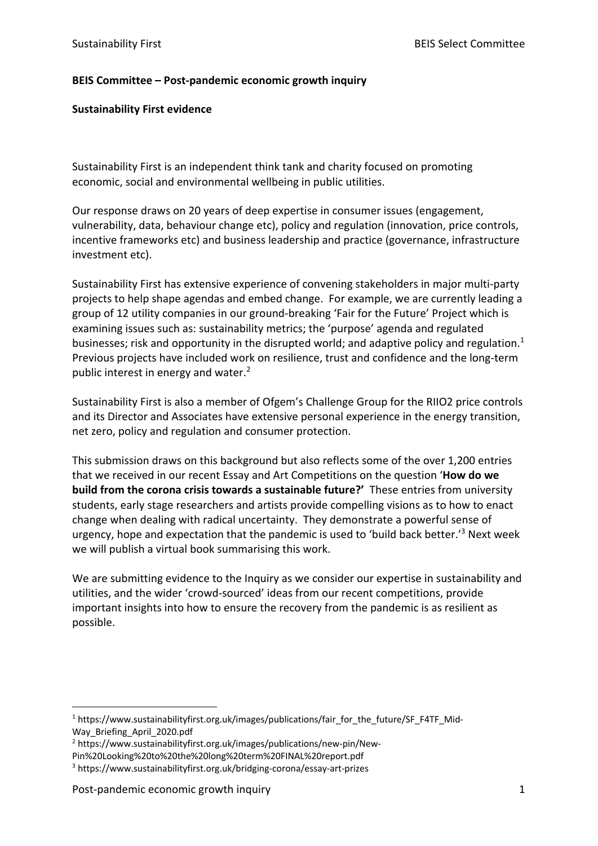## **BEIS Committee – Post-pandemic economic growth inquiry**

#### **Sustainability First evidence**

Sustainability First is an independent think tank and charity focused on promoting economic, social and environmental wellbeing in public utilities.

Our response draws on 20 years of deep expertise in consumer issues (engagement, vulnerability, data, behaviour change etc), policy and regulation (innovation, price controls, incentive frameworks etc) and business leadership and practice (governance, infrastructure investment etc).

Sustainability First has extensive experience of convening stakeholders in major multi-party projects to help shape agendas and embed change. For example, we are currently leading a group of 12 utility companies in our ground-breaking 'Fair for the Future' Project which is examining issues such as: sustainability metrics; the 'purpose' agenda and regulated businesses; risk and opportunity in the disrupted world; and adaptive policy and regulation.<sup>1</sup> Previous projects have included work on resilience, trust and confidence and the long-term public interest in energy and water.<sup>2</sup>

Sustainability First is also a member of Ofgem's Challenge Group for the RIIO2 price controls and its Director and Associates have extensive personal experience in the energy transition, net zero, policy and regulation and consumer protection.

This submission draws on this background but also reflects some of the over 1,200 entries that we received in our recent Essay and Art Competitions on the question '**How do we build from the corona crisis towards a sustainable future?'** These entries from university students, early stage researchers and artists provide compelling visions as to how to enact change when dealing with radical uncertainty. They demonstrate a powerful sense of urgency, hope and expectation that the pandemic is used to 'build back better.'3 Next week we will publish a virtual book summarising this work.

We are submitting evidence to the Inquiry as we consider our expertise in sustainability and utilities, and the wider 'crowd-sourced' ideas from our recent competitions, provide important insights into how to ensure the recovery from the pandemic is as resilient as possible.

 $1$  https://www.sustainabilityfirst.org.uk/images/publications/fair\_for\_the\_future/SF\_F4TF\_Mid-Way Briefing April 2020.pdf

<sup>2</sup> https://www.sustainabilityfirst.org.uk/images/publications/new-pin/New-

Pin%20Looking%20to%20the%20long%20term%20FINAL%20report.pdf

<sup>3</sup> https://www.sustainabilityfirst.org.uk/bridging-corona/essay-art-prizes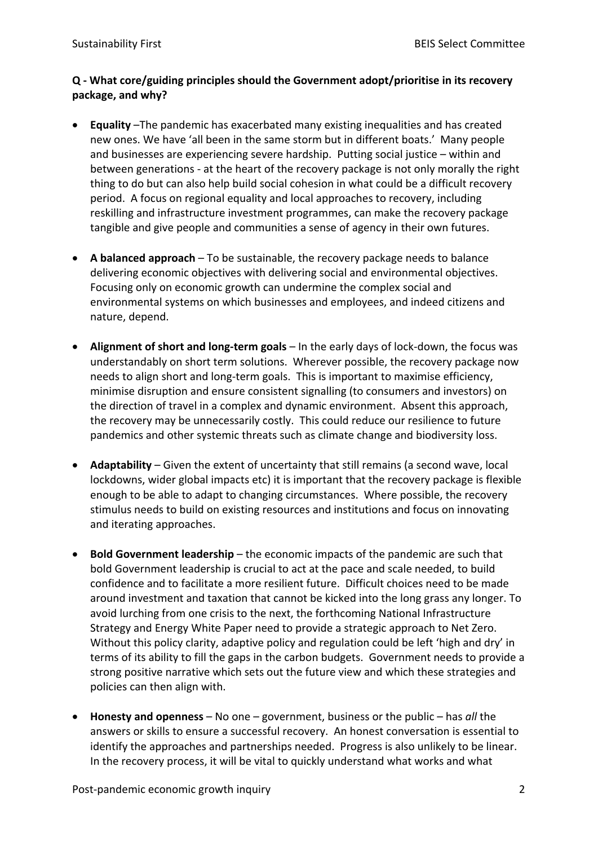## **Q - What core/guiding principles should the Government adopt/prioritise in its recovery package, and why?**

- **Equality** –The pandemic has exacerbated many existing inequalities and has created new ones. We have 'all been in the same storm but in different boats.' Many people and businesses are experiencing severe hardship. Putting social justice – within and between generations - at the heart of the recovery package is not only morally the right thing to do but can also help build social cohesion in what could be a difficult recovery period. A focus on regional equality and local approaches to recovery, including reskilling and infrastructure investment programmes, can make the recovery package tangible and give people and communities a sense of agency in their own futures.
- **A balanced approach** To be sustainable, the recovery package needs to balance delivering economic objectives with delivering social and environmental objectives. Focusing only on economic growth can undermine the complex social and environmental systems on which businesses and employees, and indeed citizens and nature, depend.
- **Alignment of short and long-term goals** In the early days of lock-down, the focus was understandably on short term solutions. Wherever possible, the recovery package now needs to align short and long-term goals. This is important to maximise efficiency, minimise disruption and ensure consistent signalling (to consumers and investors) on the direction of travel in a complex and dynamic environment. Absent this approach, the recovery may be unnecessarily costly. This could reduce our resilience to future pandemics and other systemic threats such as climate change and biodiversity loss.
- **Adaptability**  Given the extent of uncertainty that still remains (a second wave, local lockdowns, wider global impacts etc) it is important that the recovery package is flexible enough to be able to adapt to changing circumstances. Where possible, the recovery stimulus needs to build on existing resources and institutions and focus on innovating and iterating approaches.
- **Bold Government leadership** the economic impacts of the pandemic are such that bold Government leadership is crucial to act at the pace and scale needed, to build confidence and to facilitate a more resilient future. Difficult choices need to be made around investment and taxation that cannot be kicked into the long grass any longer. To avoid lurching from one crisis to the next, the forthcoming National Infrastructure Strategy and Energy White Paper need to provide a strategic approach to Net Zero. Without this policy clarity, adaptive policy and regulation could be left 'high and dry' in terms of its ability to fill the gaps in the carbon budgets. Government needs to provide a strong positive narrative which sets out the future view and which these strategies and policies can then align with.
- **Honesty and openness**  No one government, business or the public has *all* the answers or skills to ensure a successful recovery. An honest conversation is essential to identify the approaches and partnerships needed. Progress is also unlikely to be linear. In the recovery process, it will be vital to quickly understand what works and what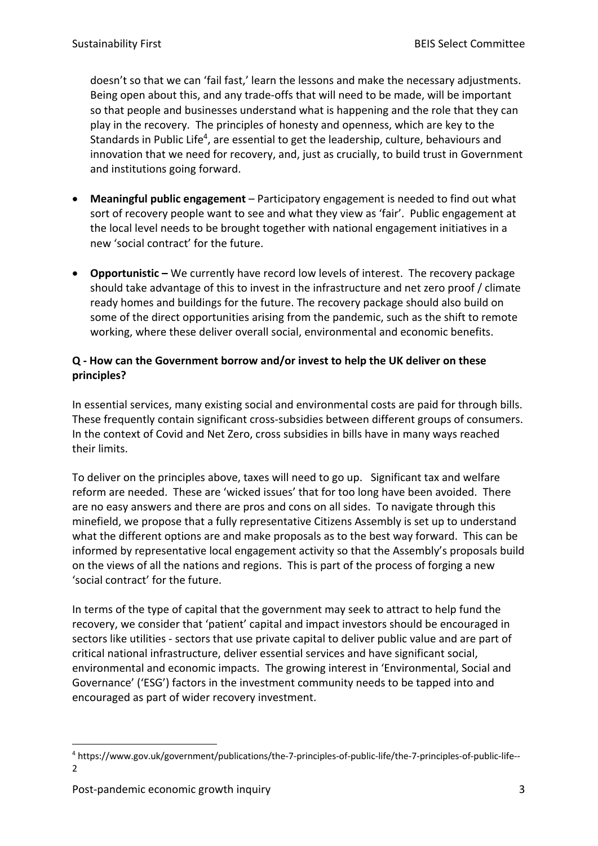doesn't so that we can 'fail fast,' learn the lessons and make the necessary adjustments. Being open about this, and any trade-offs that will need to be made, will be important so that people and businesses understand what is happening and the role that they can play in the recovery. The principles of honesty and openness, which are key to the Standards in Public Life<sup>4</sup>, are essential to get the leadership, culture, behaviours and innovation that we need for recovery, and, just as crucially, to build trust in Government and institutions going forward.

- **Meaningful public engagement** Participatory engagement is needed to find out what sort of recovery people want to see and what they view as 'fair'. Public engagement at the local level needs to be brought together with national engagement initiatives in a new 'social contract' for the future.
- **Opportunistic –** We currently have record low levels of interest. The recovery package should take advantage of this to invest in the infrastructure and net zero proof / climate ready homes and buildings for the future. The recovery package should also build on some of the direct opportunities arising from the pandemic, such as the shift to remote working, where these deliver overall social, environmental and economic benefits.

# **Q - How can the Government borrow and/or invest to help the UK deliver on these principles?**

In essential services, many existing social and environmental costs are paid for through bills. These frequently contain significant cross-subsidies between different groups of consumers. In the context of Covid and Net Zero, cross subsidies in bills have in many ways reached their limits.

To deliver on the principles above, taxes will need to go up. Significant tax and welfare reform are needed. These are 'wicked issues' that for too long have been avoided. There are no easy answers and there are pros and cons on all sides. To navigate through this minefield, we propose that a fully representative Citizens Assembly is set up to understand what the different options are and make proposals as to the best way forward. This can be informed by representative local engagement activity so that the Assembly's proposals build on the views of all the nations and regions. This is part of the process of forging a new 'social contract' for the future.

In terms of the type of capital that the government may seek to attract to help fund the recovery, we consider that 'patient' capital and impact investors should be encouraged in sectors like utilities - sectors that use private capital to deliver public value and are part of critical national infrastructure, deliver essential services and have significant social, environmental and economic impacts. The growing interest in 'Environmental, Social and Governance' ('ESG') factors in the investment community needs to be tapped into and encouraged as part of wider recovery investment.

<sup>4</sup> https://www.gov.uk/government/publications/the-7-principles-of-public-life/the-7-principles-of-public-life-- 2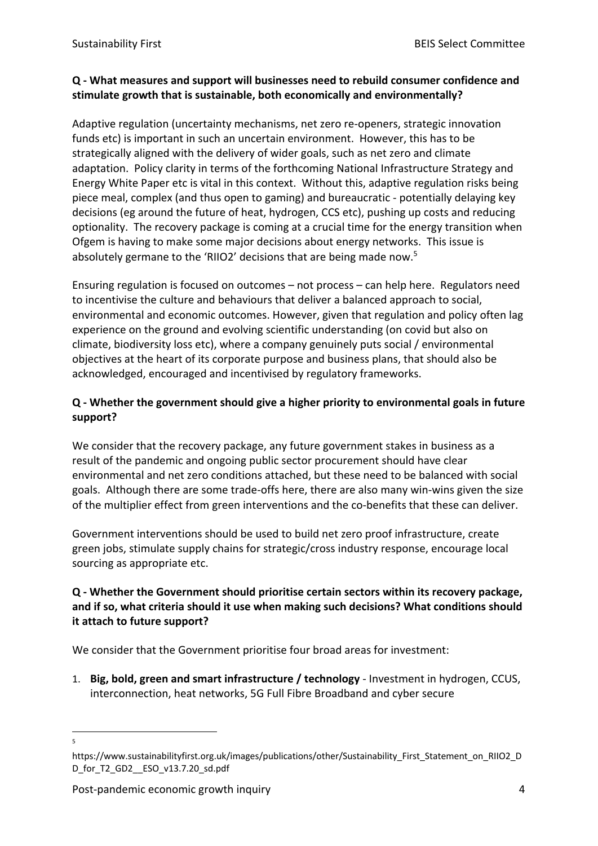## **Q - What measures and support will businesses need to rebuild consumer confidence and stimulate growth that is sustainable, both economically and environmentally?**

Adaptive regulation (uncertainty mechanisms, net zero re-openers, strategic innovation funds etc) is important in such an uncertain environment. However, this has to be strategically aligned with the delivery of wider goals, such as net zero and climate adaptation. Policy clarity in terms of the forthcoming National Infrastructure Strategy and Energy White Paper etc is vital in this context. Without this, adaptive regulation risks being piece meal, complex (and thus open to gaming) and bureaucratic - potentially delaying key decisions (eg around the future of heat, hydrogen, CCS etc), pushing up costs and reducing optionality. The recovery package is coming at a crucial time for the energy transition when Ofgem is having to make some major decisions about energy networks. This issue is absolutely germane to the 'RIIO2' decisions that are being made now.5

Ensuring regulation is focused on outcomes – not process – can help here. Regulators need to incentivise the culture and behaviours that deliver a balanced approach to social, environmental and economic outcomes. However, given that regulation and policy often lag experience on the ground and evolving scientific understanding (on covid but also on climate, biodiversity loss etc), where a company genuinely puts social / environmental objectives at the heart of its corporate purpose and business plans, that should also be acknowledged, encouraged and incentivised by regulatory frameworks.

# **Q - Whether the government should give a higher priority to environmental goals in future support?**

We consider that the recovery package, any future government stakes in business as a result of the pandemic and ongoing public sector procurement should have clear environmental and net zero conditions attached, but these need to be balanced with social goals. Although there are some trade-offs here, there are also many win-wins given the size of the multiplier effect from green interventions and the co-benefits that these can deliver.

Government interventions should be used to build net zero proof infrastructure, create green jobs, stimulate supply chains for strategic/cross industry response, encourage local sourcing as appropriate etc.

## **Q - Whether the Government should prioritise certain sectors within its recovery package, and if so, what criteria should it use when making such decisions? What conditions should it attach to future support?**

We consider that the Government prioritise four broad areas for investment:

1. **Big, bold, green and smart infrastructure / technology** - Investment in hydrogen, CCUS, interconnection, heat networks, 5G Full Fibre Broadband and cyber secure

<sup>5</sup>

https://www.sustainabilityfirst.org.uk/images/publications/other/Sustainability\_First\_Statement\_on\_RIIO2\_D D\_for\_T2\_GD2\_\_ESO\_v13.7.20\_sd.pdf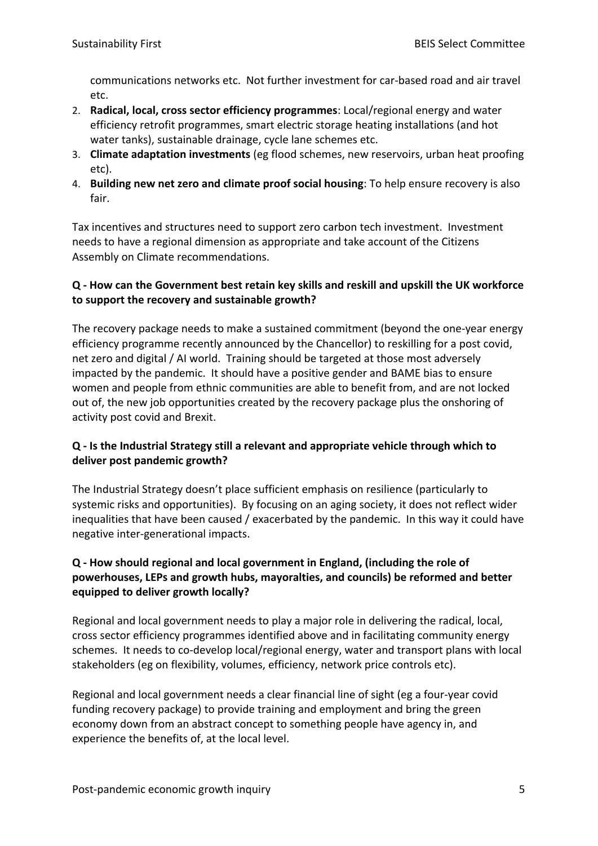communications networks etc. Not further investment for car-based road and air travel etc.

- 2. **Radical, local, cross sector efficiency programmes**: Local/regional energy and water efficiency retrofit programmes, smart electric storage heating installations (and hot water tanks), sustainable drainage, cycle lane schemes etc.
- 3. **Climate adaptation investments** (eg flood schemes, new reservoirs, urban heat proofing etc).
- 4. **Building new net zero and climate proof social housing**: To help ensure recovery is also fair.

Tax incentives and structures need to support zero carbon tech investment. Investment needs to have a regional dimension as appropriate and take account of the Citizens Assembly on Climate recommendations.

# **Q - How can the Government best retain key skills and reskill and upskill the UK workforce to support the recovery and sustainable growth?**

The recovery package needs to make a sustained commitment (beyond the one-year energy efficiency programme recently announced by the Chancellor) to reskilling for a post covid, net zero and digital / AI world. Training should be targeted at those most adversely impacted by the pandemic. It should have a positive gender and BAME bias to ensure women and people from ethnic communities are able to benefit from, and are not locked out of, the new job opportunities created by the recovery package plus the onshoring of activity post covid and Brexit.

# **Q - Is the Industrial Strategy still a relevant and appropriate vehicle through which to deliver post pandemic growth?**

The Industrial Strategy doesn't place sufficient emphasis on resilience (particularly to systemic risks and opportunities). By focusing on an aging society, it does not reflect wider inequalities that have been caused / exacerbated by the pandemic. In this way it could have negative inter-generational impacts.

# **Q - How should regional and local government in England, (including the role of powerhouses, LEPs and growth hubs, mayoralties, and councils) be reformed and better equipped to deliver growth locally?**

Regional and local government needs to play a major role in delivering the radical, local, cross sector efficiency programmes identified above and in facilitating community energy schemes. It needs to co-develop local/regional energy, water and transport plans with local stakeholders (eg on flexibility, volumes, efficiency, network price controls etc).

Regional and local government needs a clear financial line of sight (eg a four-year covid funding recovery package) to provide training and employment and bring the green economy down from an abstract concept to something people have agency in, and experience the benefits of, at the local level.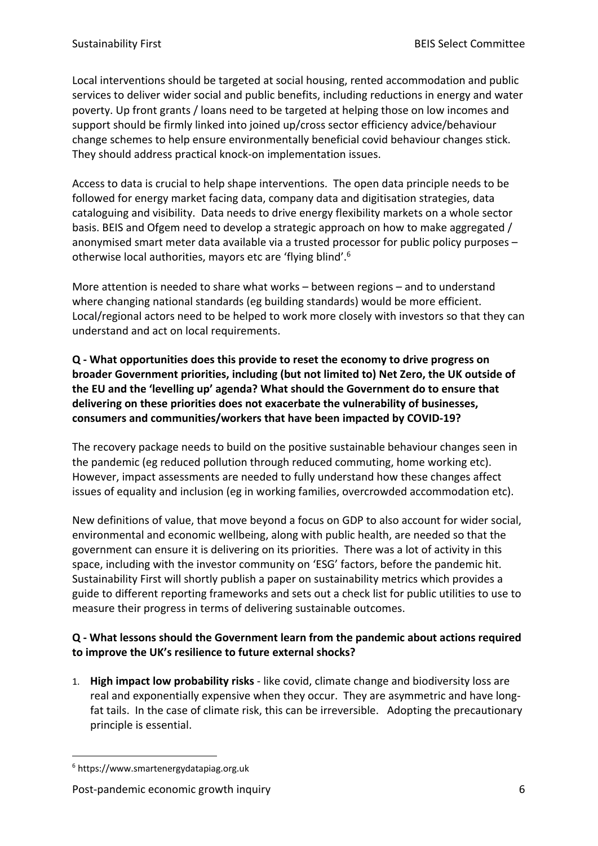Local interventions should be targeted at social housing, rented accommodation and public services to deliver wider social and public benefits, including reductions in energy and water poverty. Up front grants / loans need to be targeted at helping those on low incomes and support should be firmly linked into joined up/cross sector efficiency advice/behaviour change schemes to help ensure environmentally beneficial covid behaviour changes stick. They should address practical knock-on implementation issues.

Access to data is crucial to help shape interventions. The open data principle needs to be followed for energy market facing data, company data and digitisation strategies, data cataloguing and visibility. Data needs to drive energy flexibility markets on a whole sector basis. BEIS and Ofgem need to develop a strategic approach on how to make aggregated / anonymised smart meter data available via a trusted processor for public policy purposes – otherwise local authorities, mayors etc are 'flying blind'.6

More attention is needed to share what works – between regions – and to understand where changing national standards (eg building standards) would be more efficient. Local/regional actors need to be helped to work more closely with investors so that they can understand and act on local requirements.

**Q - What opportunities does this provide to reset the economy to drive progress on broader Government priorities, including (but not limited to) Net Zero, the UK outside of the EU and the 'levelling up' agenda? What should the Government do to ensure that delivering on these priorities does not exacerbate the vulnerability of businesses, consumers and communities/workers that have been impacted by COVID-19?**

The recovery package needs to build on the positive sustainable behaviour changes seen in the pandemic (eg reduced pollution through reduced commuting, home working etc). However, impact assessments are needed to fully understand how these changes affect issues of equality and inclusion (eg in working families, overcrowded accommodation etc).

New definitions of value, that move beyond a focus on GDP to also account for wider social, environmental and economic wellbeing, along with public health, are needed so that the government can ensure it is delivering on its priorities. There was a lot of activity in this space, including with the investor community on 'ESG' factors, before the pandemic hit. Sustainability First will shortly publish a paper on sustainability metrics which provides a guide to different reporting frameworks and sets out a check list for public utilities to use to measure their progress in terms of delivering sustainable outcomes.

# **Q - What lessons should the Government learn from the pandemic about actions required to improve the UK's resilience to future external shocks?**

1. **High impact low probability risks** - like covid, climate change and biodiversity loss are real and exponentially expensive when they occur. They are asymmetric and have longfat tails. In the case of climate risk, this can be irreversible. Adopting the precautionary principle is essential.

<sup>6</sup> https://www.smartenergydatapiag.org.uk

Post-pandemic economic growth inquiry example of the state of the state of the state of the state of the state of the state of the state of the state of the state of the state of the state of the state of the state of the